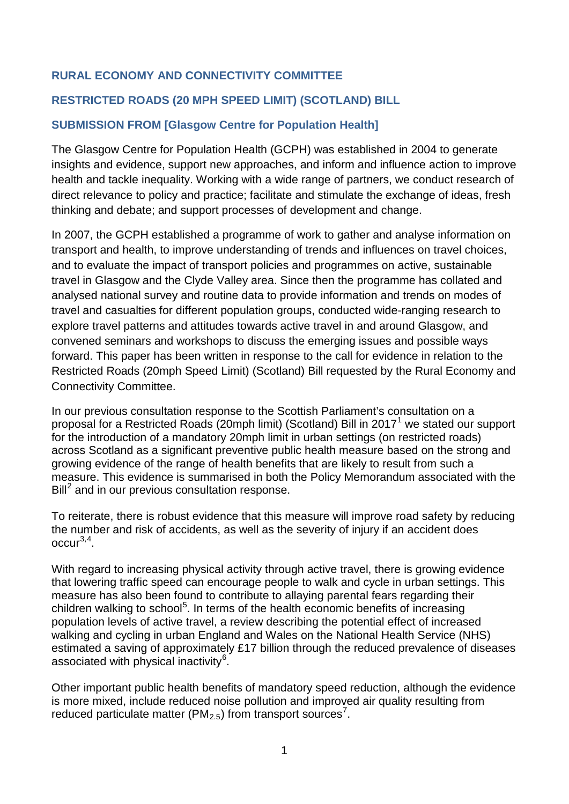# **RURAL ECONOMY AND CONNECTIVITY COMMITTEE**

# **RESTRICTED ROADS (20 MPH SPEED LIMIT) (SCOTLAND) BILL**

### **SUBMISSION FROM [Glasgow Centre for Population Health]**

The Glasgow Centre for Population Health (GCPH) was established in 2004 to generate insights and evidence, support new approaches, and inform and influence action to improve health and tackle inequality. Working with a wide range of partners, we conduct research of direct relevance to policy and practice; facilitate and stimulate the exchange of ideas, fresh thinking and debate; and support processes of development and change.

In 2007, the GCPH established a programme of work to gather and analyse information on transport and health, to improve understanding of trends and influences on travel choices, and to evaluate the impact of transport policies and programmes on active, sustainable travel in Glasgow and the Clyde Valley area. Since then the programme has collated and analysed national survey and routine data to provide information and trends on modes of travel and casualties for different population groups, conducted wide-ranging research to explore travel patterns and attitudes towards active travel in and around Glasgow, and convened seminars and workshops to discuss the emerging issues and possible ways forward. This paper has been written in response to the call for evidence in relation to the Restricted Roads (20mph Speed Limit) (Scotland) Bill requested by the Rural Economy and Connectivity Committee.

<span id="page-0-0"></span>In our previous consultation response to the Scottish Parliament's consultation on a proposal for a Restricted Roads (20mph limit) (Scotland) Bill in 20[1](#page-6-0)7<sup>1</sup> we stated our support for the introduction of a mandatory 20mph limit in urban settings (on restricted roads) across Scotland as a significant preventive public health measure based on the strong and growing evidence of the range of health benefits that are likely to result from such a measure. This evidence is summarised in both the Policy Memorandum associated with the  $\text{Bill}^2$  $\text{Bill}^2$  and in our previous consultation respons[e.](#page-0-0)

<span id="page-0-2"></span><span id="page-0-1"></span>To reiterate, there is robust evidence that this measure will improve road safety by reducing the number and risk of accidents, as well as the severity of injury if an accident does  $occur<sup>3,4</sup>$  $occur<sup>3,4</sup>$  $occur<sup>3,4</sup>$  $occur<sup>3,4</sup>$  $occur<sup>3,4</sup>$ .

With regard to increasing physical activity through active travel, there is growing evidence that lowering traffic speed can encourage people to walk and cycle in urban setting[s.](#page-0-1) This measure has also been found to contribute to allaying parental fears regarding their children walking to school<sup>[5](#page-6-4)</sup>. In terms of the health economic benefits of increasing population levels of active travel, a review describing the potential effect of increased walking and cycling in urban England and Wales on the National Health Service (NHS) estimated a saving of approximately £17 billion through the reduced prevalence of diseases associated with physical inactivity<sup>[6](#page-6-5)</sup>.

Other important public health benefits of mandatory speed reduction, although the evidence is more mixed, include reduced noise pollution and improved air quality resulting from reduced particulate matter (PM<sub>2.5</sub>) from transport sources<sup>[7](#page-6-6)</sup>.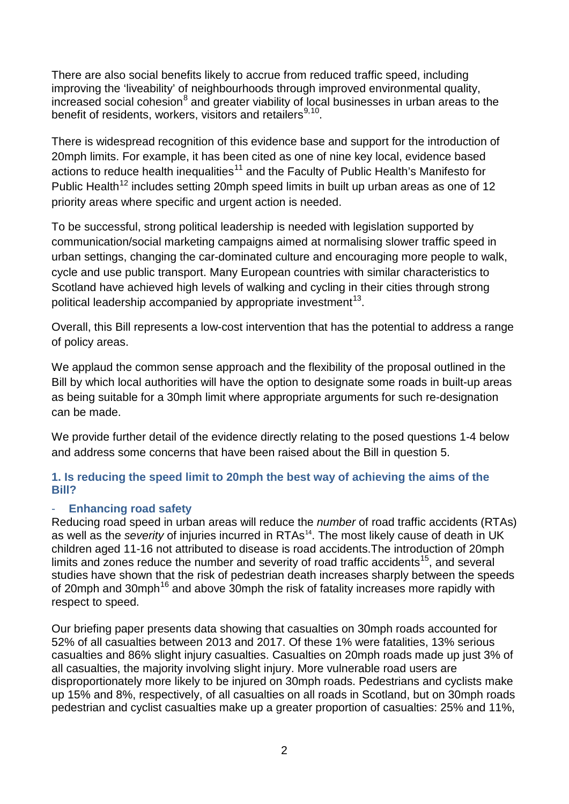There are also social benefits likely to accrue from reduced traffic speed, including improving the 'liveability' of neighbourhoods through improved environmental quality, increased social cohesion<sup>[8](#page-6-7)</sup> and greater viability of local businesses in urban areas to the benefit of residents, workers, visitors and retailers  $9,10$  $9,10$  $9,10$ .

<span id="page-1-0"></span>There is widespread recognition of this evidence base and support for the introduction of 20mph limits. For example, it has been cited as one of nine key local, evidence based actions to reduce health inequalities<sup>[11](#page-7-1)</sup> and the Faculty of Public Health's Manifesto for Public Health<sup>[12](#page-7-2)</sup> includes setting 20mph speed limits in built up urban areas as one of 12 priority areas where specific and urgent action is needed.

To be successful, strong political leadership is needed with legislation supported by communication/social marketing campaigns aimed at normalising slower traffic speed in urban settings, changing the car-dominated culture and encouraging more people to walk, cycle and use public transport. Many European countries with similar characteristics to Scotland have achieved high levels of walking and cycling in their cities through strong political leadership accompanied by appropriate investment $13$ .

Overall, this Bill represents a low-cost intervention that has the potential to address a range of policy areas.

We applaud the common sense approach and the flexibility of the proposal outlined in the Bill by which local authorities will have the option to designate some roads in built-up areas as being suitable for a 30mph limit where appropriate arguments for such re-designation can be made.

We provide further detail of the evidence directly relating to the posed questions 1-4 below and address some concerns that have been raised about the Bill in question 5.

# **1. Is reducing the speed limit to 20mph the best way of achieving the aims of the Bill?**

# <span id="page-1-1"></span>- **Enhancing road safety**

Reducing road speed in urban areas will reduce the *number* of road traffic accidents (RTAs) as well as the *severity* of injuries incurred in RTAs<sup>[14](#page-7-4)</sup>. The most likely cause of death in UK children aged 11-16 not attributed to disease is road accident[s.](#page-1-0)The introduction of 20mph limits and zones reduce the number and severity of road traffic accidents<sup>15</sup>, and several studies have shown that the risk of pedestrian death increases sharply between the speeds of 20mph and 30mph<sup>[16](#page-7-6)</sup> and above 30mph the risk of fatality increases more rapidly with respect to spee[d](#page-0-2).

Our briefing paper presents data showing that casualties on 30mph roads accounted for 52% of all casualties between 2013 and 201[7.](#page-1-1) Of these 1% were fatalities, 13% serious casualties and 86% slight injury casualties. Casualties on 20mph roads made up just 3% of all casualties, the majority involving slight injury. More vulnerable road users are disproportionately more likely to be injured on 30mph roads. Pedestrians and cyclists make up 15% and 8%, respectively, of all casualties on all roads in Scotland, but on 30mph roads pedestrian and cyclist casualties make up a greater proportion of casualties: 25% and 11%,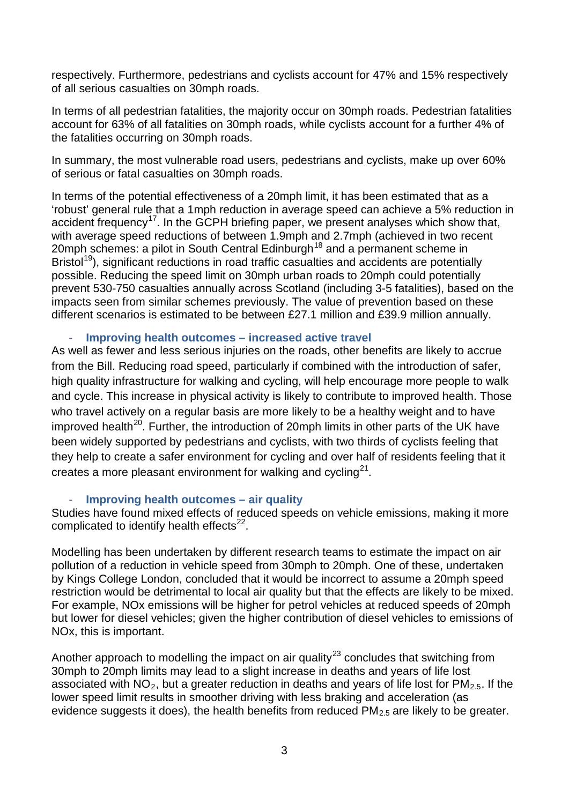respectively. Furthermore, pedestrians and cyclists account for 47% and 15% respectively of all serious casualties on 30mph road[s.](#page-1-1)

In terms of all pedestrian fatalities, the majority occur on 30mph roads. Pedestrian fatalities account for 63% of all fatalities on 30mph roads, while cyclists account for a further 4% of the fatalities occurring on 30mph roads.

In summary, the most vulnerable road users, pedestrians and cyclists, make up over 60% of serious or fatal casualties on 30mph road[s.](#page-1-1)

In terms of the potential effectiveness of a 20mph limit, it has been estimated that as a 'robust' general rule that a 1mph reduction in average speed can achieve a 5% reduction in accident frequency<sup>[17](#page-7-7)</sup>. In the GCPH briefing pape[r,](#page-1-1) we present analyses which show that, with average speed reductions of between 1.9mph and 2.7mph (achieved in two recent 20mph schemes: a pilot in South Central Edinburgh<sup>[18](#page-7-8)</sup> and a permanent scheme in Bristol<sup>19</sup>), significant reductions in road traffic casualties and accidents are potentially possible. Reducing the speed limit on 30mph urban roads to 20mph could potentially prevent 530-750 casualties annually across Scotland (including 3-5 fatalities), based on the impacts seen from similar schemes previously. The value of prevention based on these different scenarios is estimated to be between £27.1 million and £39.9 million annuall[y.](#page-1-1)

#### - **Improving health outcomes – increased active travel**

As well as fewer and less serious injuries on the roads, other benefits are likely to accrue from the Bill. Reducing road speed, particularly if combined with the introduction of safer, high quality infrastructure for walking and cycling, will help encourage more people to walk and cycle. This increase in physical activity is likely to contribute to improved health. Those who travel actively on a regular basis are more likely to be a healthy weight and to have improved health<sup>20</sup>. Further, the introduction of 20mph limits in other parts of the UK have been widely supported by pedestrians and cyclists, with two thirds of cyclists feeling that they help to create a safer environment for cycling and over half of residents feeling that it creates a more pleasant environment for walking and cycling<sup>21</sup>.

#### <span id="page-2-0"></span>- **Improving health outcomes – air quality**

Studies have found mixed effects of reduced speeds on vehicle emissions, making it more complicated to identify health effects $22$ .

Modelling has been undertaken by different research teams to estimate the impact on air pollution of a reduction in vehicle speed from 30mph to 20mph. One of these, undertaken by Kings College London, concluded that it would be incorrect to assume a 20mph speed restriction would be detrimental to local air quality but that the effects are likely to be mixed. For example, NOx emissions will be higher for petrol vehicles at reduced speeds of 20mph but lower for diesel vehicles; given the higher contribution of diesel vehicles to emissions of NOx, this is important.

Another approach to modelling the impact on air quality<sup>[23](#page-7-13)</sup> concludes that switching from 30mph to 20mph limits may lead to a slight increase in deaths and years of life lost associated with  $NO<sub>2</sub>$ , but a greater reduction in deaths and years of life lost for PM<sub>2.5</sub>. If the lower speed limit results in smoother driving with less braking and acceleration (as evidence suggests it doe[s\)](#page-2-0), the health benefits from reduced  $PM<sub>2.5</sub>$  are likely to be greater.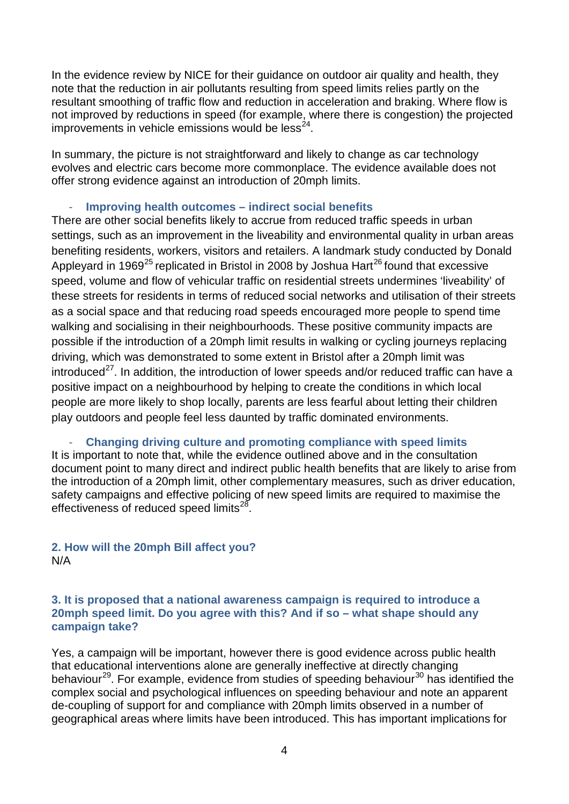In the evidence review by NICE for their guidance on outdoor air quality and health, they note that the reduction in air pollutants resulting from speed limits relies partly on the resultant smoothing of traffic flow and reduction in acceleration and braking. Where flow is not improved by reductions in speed (for example, where there is congestion) the projected improvements in vehicle emissions would be  $less<sup>24</sup>$ .

In summary, the picture is not straightforward and likely to change as car technology evolves and electric cars become more commonplace. The evidence available does not offer strong evidence against an introduction of 20mph limits.

### - **Improving health outcomes – indirect social benefits**

There are other social benefits likely to accrue from reduced traffic speeds in urban settings, such as an improvement in the liveability and environmental quality in urban areas benefiting residents, workers, visitors and retailers. A landmark study conducted by Donald Appleyard in 1969<sup>[25](#page-7-15)</sup> replicated in Bristol in 2008 by Joshua Hart<sup>[26](#page-7-16)</sup> found that excessive speed, volume and flow of vehicular traffic on residential streets undermines 'liveability' of these streets for residents in terms of reduced social networks and utilisation of their streets as a social space and that reducing road speeds encouraged more people to spend time walking and socialising in their neighbourhoods. These positive community impacts are possible if the introduction of a 20mph limit results in walking or cycling journeys replacing driving, which was demonstrated to some extent in Bristol after a 20mph limit was introduced $^{27}$  $^{27}$  $^{27}$ . In addition, the introduction of lower speeds and/or reduced traffic can have a positive impact on a neighbourhood by helping to create the conditions in which local people are more likely to shop locally, parents are less fearful about letting their children play outdoors and people feel less daunted by traffic dominated environment[s.](#page-1-0)

- **Changing driving culture and promoting compliance with speed limits** It is important to note that, while the evidence outlined above and in the consultation document point to many direct and indirect public health benefits that are likely to arise from the introduction of a 20mph limit, other complementary measures, such as driver education, safety campaigns and effective policing of new speed limits are required to maximise the effectiveness of reduced speed limits $^{28}$  $^{28}$  $^{28}$ .

# **2. How will the 20mph Bill affect you?**  N/A

### **3. It is proposed that a national awareness campaign is required to introduce a 20mph speed limit. Do you agree with this? And if so – what shape should any campaign take?**

<span id="page-3-0"></span>Yes, a campaign will be important, however there is good evidence across public health that educational interventions alone are generally ineffective at directly changing behaviour<sup>[29](#page-7-19)</sup>. For example, evidence from studies of speeding behaviour<sup>[30](#page-7-20)</sup> has identified the complex social and psychological influences on speeding behaviour and note an apparent de-coupling of support for and compliance with 20mph limits observed in a number of geographical areas where limits have been introduced. This has important implications for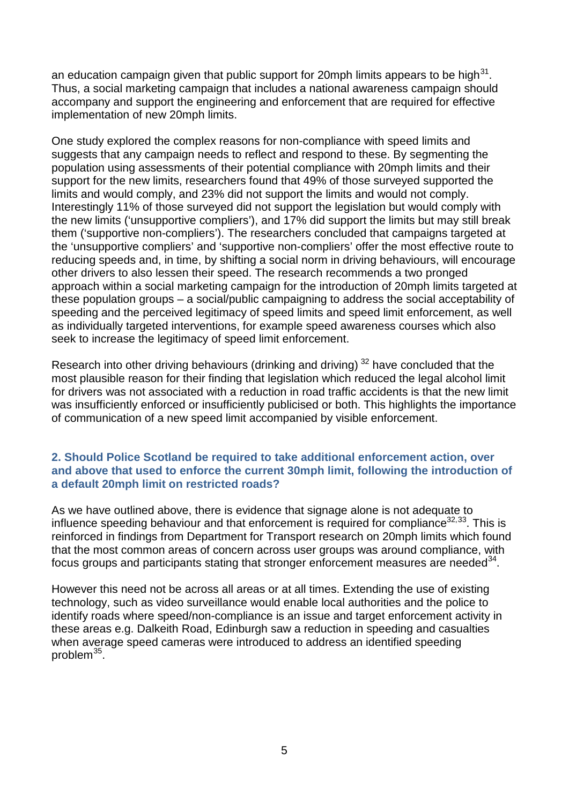an education campaign given that public support for 20mph limits appears to be high $31$ . Thus, a social marketing campaign that includes a national awareness campaign should accompany and support the engineering and enforcement that are required for effective implementation of new 20mph limits.

One study explored the complex reasons for non-compliance with speed limits and suggests that any campaign needs to reflect and respond to thes[e.](#page-3-0) By segmenting the population using assessments of their potential compliance with 20mph limits and their support for the new limits, researchers found that 49% of those surveyed supported the limits and would comply, and 23% did not support the limits and would not comply. Interestingly 11% of those surveyed did not support the legislation but would comply with the new limits ('unsupportive compliers'), and 17% did support the limits but may still break them ('supportive non-compliers'). The researchers concluded that campaigns targeted at the 'unsupportive compliers' and 'supportive non-compliers' offer the most effective route to reducing speeds and, in time, by shifting a social norm in driving behaviours, will encourage other drivers to also lessen their speed. The research recommends a two pronged approach within a social marketing campaign for the introduction of 20mph limits targeted at these population groups – a social/public campaigning to address the social acceptability of speeding and the perceived legitimacy of speed limits and speed limit enforcement, as well as individually targeted interventions, for example speed awareness courses which also seek to increase the legitimacy of speed limit enforcement.

<span id="page-4-0"></span>Research into other driving behaviours (drinking and driving) <sup>[32](#page-8-0)</sup> have concluded that the most plausible reason for their finding that legislation which reduced the legal alcohol limit for drivers was not associated with a reduction in road traffic accidents is that the new limit was insufficiently enforced or insufficiently publicised or both. This highlights the importance of communication of a new speed limit accompanied by visible enforcement.

### **2. Should Police Scotland be required to take additional enforcement action, over and above that used to enforce the current 30mph limit, following the introduction of a default 20mph limit on restricted roads?**

As we have outlined above, there is evidence that signage alone is not adequate to influence speeding behaviour and that enforcement is required for compliance $32,33$  $32,33$ . This is reinforced in findings from Department for Transport research on 20mph limits which found that the most common areas of concern across user groups was around compliance, with focus groups and participants stating that stronger enforcement measures are needed $34$ .

<span id="page-4-1"></span>However this need not be across all areas or at all times. Extending the use of existing technology, such as video surveillance would enable local authorities and the police to identify roads where speed/non-compliance is an issue and target enforcement activity in these areas e.g. Dalkeith Road, Edinburgh saw a reduction in speeding and casualties when average speed cameras were introduced to address an identified speeding problem $35$ .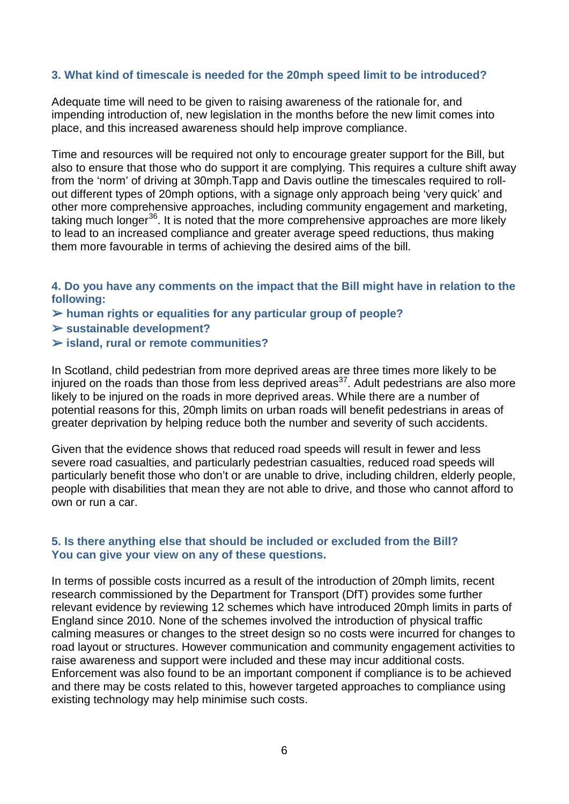### **3. What kind of timescale is needed for the 20mph speed limit to be introduced?**

Adequate time will need to be given to raising awareness of the rationale for, and impending introduction of, new legislation in the months before the new limit comes into place, and this increased awareness should help improve compliance.

Time and resources will be required not only to encourage greater support for the Bill, but also to ensure that those who do support it are complying. This requires a culture shift away from the 'norm' of driving at 30mph.Tapp and Davis outline the timescales required to rollout different types of 20mph options, with a signage only approach being 'very quick' and other more comprehensive approaches, including community engagement and marketing, taking much longer<sup>36</sup>. It is noted that the more comprehensive approaches are more likely to lead to an increased compliance and greater average speed reductions, thus making them more favourable in terms of achieving the desired aims of the bill.

**4. Do you have any comments on the impact that the Bill might have in relation to the following:** 

- ➢ **human rights or equalities for any particular group of people?**
- ➢ **sustainable development?**
- ➢ **island, rural or remote communities?**

In Scotland, child pedestrian from more deprived areas are three times more likely to be injured on the roads than those from less deprived areas<sup>37</sup>. Adult pedestrians are also more likely to be injured on the roads in more deprived areas. While there are a number of potential reasons for this, 20mph limits on urban roads will benefit pedestrians in areas of greater deprivation by helping reduce both the number and severity of such accidents.

Given that the evidence shows that reduced road speeds will result in fewer and less severe road casualties, and particularly pedestrian casualties, reduced road speeds will particularly benefit those who don't or are unable to drive, including children, elderly people, people with disabilities that mean they are not able to drive, and those who cannot afford to own or run a car.

### **5. Is there anything else that should be included or excluded from the Bill? You can give your view on any of these questions.**

In terms of possible costs incurred as a result of the introduction of 20mph limits, recent research commissioned by the Department for Transport (DfT[\)](#page-4-1) provides some further relevant evidence by reviewing 12 schemes which have introduced 20mph limits in parts of England since 2010. None of the schemes involved the introduction of physical traffic calming measures or changes to the street design so no costs were incurred for changes to road layout or structures. However communication and community engagement activities to raise awareness and support were included and these may incur additional costs. Enforcement was also found to be an important component if compliance is to be achieved and there may be costs related to this, however targeted approaches to compliance using existing technology may help minimise such costs.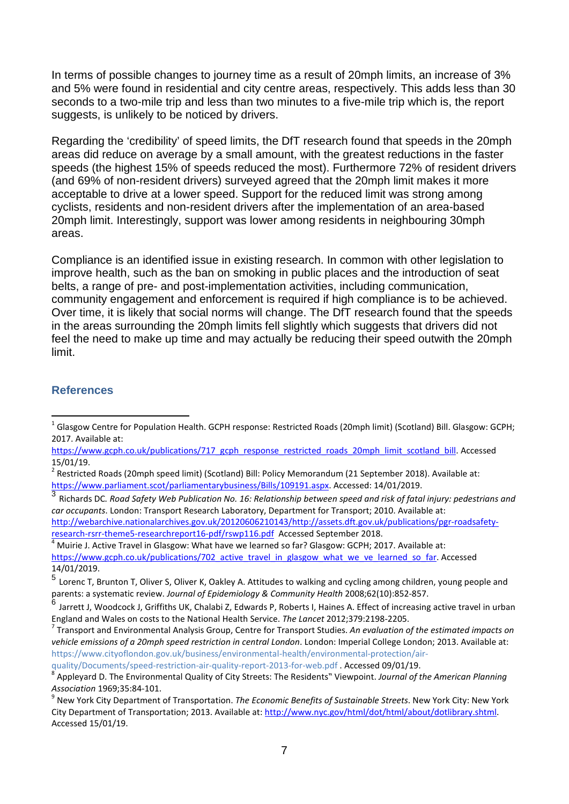In terms of possible changes to journey time as a result of 20mph limits, an increase of 3% and 5% were found in residential and city centre areas, respectivel[y.](#page-4-1) This adds less than 30 seconds to a two-mile trip and less than two minutes to a five-mile trip which is, the report suggests, is unlikely to be noticed by drivers.

Regarding the 'credibility' of speed limits, the DfT research found that speeds in the 20mph areas did reduce on average by a small amount, with the greatest reductions in the faster speeds (the highest 15% of speeds reduced the most). Furthermore 72% of resident drivers (and 69% of non-resident drivers) surveyed agreed that the 20mph limit makes it more acceptable to drive at a lower speed. Support for the reduced limit was strong among cyclists, residents and non-resident drivers after the implementation of an area-based 20mph limit. Interestingly, support was lower among residents in neighbouring 30mph areas.

Compliance is an identified issue in existing research. In common with other legislation to improve health, such as the ban on smoking in public places and the introduction of seat belts, a range of pre- and post-implementation activities, including communication, community engagement and enforcement is required if high compliance is to be achieved. Over time, it is likely that social norms will change. The DfT researc[h](#page-4-1) found that the speeds in the areas surrounding the 20mph limits fell slightly which suggests that drivers did not feel the need to make up time and may actually be reducing their speed outwith the 20mph limit.

#### **References**

<span id="page-6-2"></span><sup>3</sup> Richards DC*. Road Safety Web Publication No. 16: Relationship between speed and risk of fatal injury: pedestrians and car occupants*. London: Transport Research Laboratory, Department for Transport; 2010. Available at:

[http://webarchive.nationalarchives.gov.uk/20120606210143/http://assets.dft.gov.uk/publications/pgr-roadsafety-](http://webarchive.nationalarchives.gov.uk/20120606210143/http:/assets.dft.gov.uk/publications/pgr-roadsafety-research-rsrr-theme5-researchreport16-pdf/rswp116.pdf)

<span id="page-6-3"></span>Muirie J. Active Travel in Glasgow: What have we learned so far? Glasgow: GCPH; 2017. Available at: https://www.gcph.co.uk/publications/702 active travel in glasgow what we ve learned so far. Accessed 14/01/2019.

<span id="page-6-0"></span> $1$  Glasgow Centre for Population Health. GCPH response: Restricted Roads (20mph limit) (Scotland) Bill. Glasgow: GCPH; 2017. Available at:

[https://www.gcph.co.uk/publications/717\\_gcph\\_response\\_restricted\\_roads\\_20mph\\_limit\\_scotland\\_bill.](https://www.gcph.co.uk/publications/717_gcph_response_restricted_roads_20mph_limit_scotland_bill) Accessed 15/01/19.

<span id="page-6-1"></span><sup>&</sup>lt;sup>2</sup> Restricted Roads (20mph speed limit) (Scotland) Bill: Policy Memorandum (21 September 2018). Available at: [https://www.parliament.scot/parliamentarybusiness/Bills/109191.aspx.](https://www.parliament.scot/parliamentarybusiness/Bills/109191.aspx) Accessed: 14/01/2019.

<span id="page-6-4"></span><sup>5</sup> Lorenc T, Brunton T, Oliver S, Oliver K, Oakley A. Attitudes to walking and cycling among children, young people and parents: a systematic review. *Journal of Epidemiology & Community Health* 2008;62(10):852-857.

<span id="page-6-5"></span><sup>6</sup> Jarrett J, Woodcock J, Griffiths UK, Chalabi Z, Edwards P, Roberts I, Haines A. Effect of increasing active travel in urban England and Wales on costs to the National Health Service. *The Lancet* 2012;379:2198-2205. 7 Transport and Environmental Analysis Group, Centre for Transport Studies. *An evaluation of the estimated impacts on* 

<span id="page-6-6"></span>*vehicle emissions of a 20mph speed restriction in central London*. London: Imperial College London; 2013. Available at: [https://www.cityoflondon.gov.uk/business/environmental-health/environmental-protection/air-](https://www.cityoflondon.gov.uk/business/environmental-health/environmental-protection/air-quality/Documents/speed-restriction-air-quality-report-2013-for-web.pdf)

[quality/Documents/speed-restriction-air-quality-report-2013-for-web.pdf](https://www.cityoflondon.gov.uk/business/environmental-health/environmental-protection/air-quality/Documents/speed-restriction-air-quality-report-2013-for-web.pdf) . Accessed 09/01/19.<br><sup>8</sup> Appleyard D. The Environmental Quality of City Streets: The Residents" Viewpoint. *Journal of the American Planning* 

<span id="page-6-7"></span>*Association* 1969;35:84-101.<br><sup>9</sup> New York City Department of Transportation. *The Economic Benefits of Sustainable Streets*. New York City: New York

<span id="page-6-8"></span>City Department of Transportation; 2013. Available at: [http://www.nyc.gov/html/dot/html/about/dotlibrary.shtml.](http://www.nyc.gov/html/dot/html/about/dotlibrary.shtml) Accessed 15/01/19.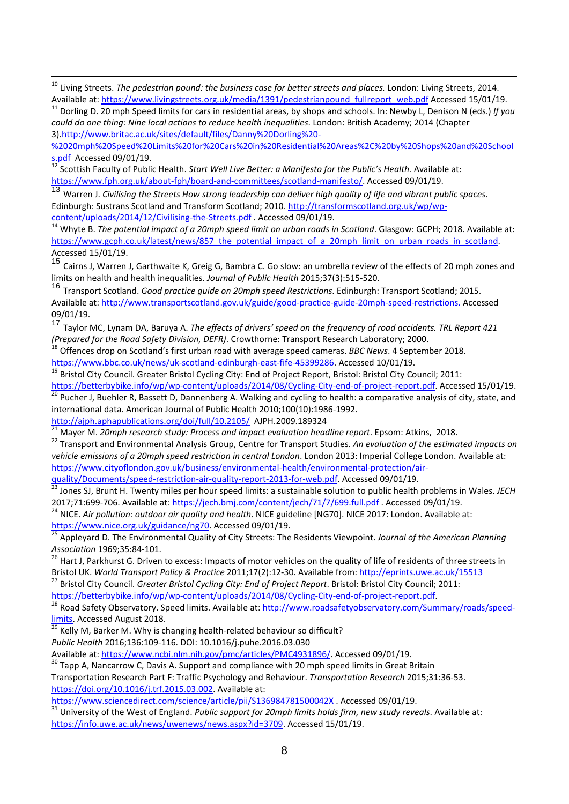[%2020mph%20Speed%20Limits%20for%20Cars%20in%20Residential%20Areas%2C%20by%20Shops%20and%20School](http://www.britac.ac.uk/sites/default/files/Danny%20Dorling%20-%2020mph%20Speed%20Limits%20for%20Cars%20in%20Residential%20Areas%2C%20by%20Shops%20and%20Schools.pdf)<br>s.pdf Accessed 09/01/19.<br><sup>12</sup> Seattish Fase We Candidate:

<span id="page-7-2"></span>[s.pdf](http://www.britac.ac.uk/sites/default/files/Danny%20Dorling%20-%2020mph%20Speed%20Limits%20for%20Cars%20in%20Residential%20Areas%2C%20by%20Shops%20and%20Schools.pdf) Accessed 09/01/19. <sup>12</sup> Scottish Faculty of Public Health. *Start Well Live Better: a Manifesto for the Public's Health.* Available at: [https://www.fph.org.uk/about-fph/board-and-committees/scotland-manifesto/.](https://www.fph.org.uk/about-fph/board-and-committees/scotland-manifesto/) Accessed 09/01/19.

<span id="page-7-3"></span><sup>13</sup> Warren J. *Civilising the Streets How strong leadership can deliver high quality of life and vibrant public spaces*. Edinburgh: Sustrans Scotland and Transform Scotland; 2010. http://transformscotland.org.uk/wp/wp-<br>content/uploads/2014/12/Civilising-the-Streets.pdf . Accessed 09/01/19.

<span id="page-7-4"></span>[content/uploads/2014/12/Civilising-the-Streets.pdf](http://transformscotland.org.uk/wp/wp-content/uploads/2014/12/Civilising-the-Streets.pdf) . Accessed 09/01/19. <sup>14</sup> Whyte B. *The potential impact of a 20mph speed limit on urban roads in Scotland*. Glasgow: GCPH; 2018. Available at: https://www.gcph.co.uk/latest/news/857\_the\_potential\_impact\_of\_a\_20mph\_limit\_on\_urban\_roads\_in\_scotland. Accessed 15/01/19.

<span id="page-7-5"></span><sup>15</sup> Cairns J, Warren J, Garthwaite K, Greig G, Bambra C. Go slow: an umbrella review of the effects of 20 mph zones and limits on health and health inequalities. *Journal of Public Health* 2015;37(3):515-520.

<span id="page-7-6"></span><sup>16</sup> Transport Scotland. *Good practice guide on 20mph speed Restrictions*. Edinburgh: Transport Scotland; 2015. Available at: [http://www.transportscotland.gov.uk/guide/good-practice-guide-20mph-speed-restrictions.](http://www.transportscotland.gov.uk/guide/good-practice-guide-20mph-speed-restrictions) Accessed 09/01/19.

<span id="page-7-7"></span>17 Taylor MC, Lynam DA, Baruya A. *The effects of drivers' speed on the frequency of road accidents. TRL Report 421*<br>(Prepared for the Road Safety Division, DEFR). Crowthorne: Transport Research Laboratory; 2000.

<sup>18</sup> Offences drop on Scotland's first urban road with average speed cameras. *BBC News*. 4 September 2018.

<span id="page-7-8"></span>https://www.bbc.co.uk/news/uk-scotland-edinburgh-east-fife-45399286</u>. Accessed 10/01/19.<br><sup>19</sup> Bristol City Council. Greater Bristol Cycling City: End of Project Report, Bristol: Bristol City Council; 2011:<br>https://betterby

<span id="page-7-10"></span><span id="page-7-9"></span><sup>20</sup> Pucher J, Buehler R, Bassett D, Dannenberg A. Walking and cycling to health: a comparative analysis of city, state, and international data. American Journal of Public Health 2010;100(10):1986-1992.<br>http://ajph.aphapublications.org/doi/full/10.2105/ AJPH.2009.189324

<span id="page-7-12"></span>

<span id="page-7-11"></span>[21](http://ajph.aphapublications.org/doi/full/10.2105/) Mayer M. 20mph research study: Process and impact evaluation headline report. Epsom: Atkins, 2018.<br><sup>21</sup> Mayer M. 20mph research study: Process and impact evaluation headline report. Epsom: Atkins, 2018. *vehicle emissions of a 20mph speed restriction in central London*. London 2013: Imperial College London. Available at: [https://www.cityoflondon.gov.uk/business/environmental-health/environmental-protection/air-](https://www.cityoflondon.gov.uk/business/environmental-health/environmental-protection/air-quality/Documents/speed-restriction-air-quality-report-2013-for-web.pdf)

[quality/Documents/speed-restriction-air-quality-report-2013-for-web.pdf.](https://www.cityoflondon.gov.uk/business/environmental-health/environmental-protection/air-quality/Documents/speed-restriction-air-quality-report-2013-for-web.pdf) Accessed 09/01/19.<br><sup>23</sup> Jones SJ, Brunt H. Twenty miles per hour speed limits: a sustainable solution to public health problems in Wales. *JECH* 

<span id="page-7-14"></span><span id="page-7-13"></span>2017;71:699-706. Available at: <u>https://jech.bmj.com/content/jech/71/7/699.full.pdf</u> . Accessed 09/01/19.<br><sup>24</sup> NICE. *Air pollution: outdoor air quality and health*. NICE guideline [NG70]. NICE 2017: London. Available at:<br>

<span id="page-7-15"></span><sup>25</sup> Appleyard D. The Environmental Quality of City Streets: The Residents Viewpoint. *Journal of the American Planning*<br>Association 1969;35:84-101.

<span id="page-7-16"></span><sup>26</sup> Hart J, Parkhurst G. Driven to excess: Impacts of motor vehicles on the quality of life of residents of three streets in<br>Bristol UK. World Transport Policy & Practice 2011;17(2):12-30. Available from: http://eprints.u

<span id="page-7-17"></span><sup>27</sup> Bristol City Council. Greater Bristol Cycling City: End of Project Report. Bristol: Bristol City Council; 2011:

<span id="page-7-18"></span>https://betterbybike.info/wp/wp-content/uploads/2014/08/Cycling-City-end-of-project-report.pdf.<br><sup>28</sup> Road Safety Observatory. Speed limits. Available at: http://www.roadsafetyobservatory.com/Summary/roads/speed-<br>limits. Ac

<span id="page-7-19"></span><sup>29</sup> Kelly M, Barker M. Why is changing health-related behaviour so difficult?

*Public Health* 2016;136:109-116. DOI: 10.1016/j.puhe.2016.03.030

<span id="page-7-20"></span> $30$  Tapp A, Nancarrow C, Davis A. Support and compliance with 20 mph speed limits in Great Britain

Transportation Research Part F: Traffic Psychology and Behaviour. *Transportation Research* 2015;31:36-53. [https://doi.org/10.1016/j.trf.2015.03.002.](https://doi.org/10.1016/j.trf.2015.03.002) Available at:<br>https://www.sciencedirect.com/science/article/pii/S136984781500042X. Accessed 09/01/19.

<span id="page-7-21"></span> $\frac{31}{31}$  University of the West of England. *Public support for 20mph limits holds firm, new study reveals*. Available at: [https://info.uwe.ac.uk/news/uwenews/news.aspx?id=3709.](https://info.uwe.ac.uk/news/uwenews/news.aspx?id=3709) Accessed 15/01/19.

<span id="page-7-0"></span><sup>&</sup>lt;sup>10</sup> Living Streets. *The pedestrian pound: the business case for better streets and places.* London: Living Streets, 2014.<br>Available at: https://www.livingstreets.org.uk/media/1391/pedestrianpound fullreport web.pdf Acces

<span id="page-7-1"></span><sup>&</sup>lt;sup>11</sup> Dorling D. 20 mph Speed limits for cars in residential areas, by shops and schools. In: Newby L, Denison N (eds.) If you *could do one thing: Nine local actions to reduce health inequalities*. London: British Academy; 2014 (Chapter 3[\).http://www.britac.ac.uk/sites/default/files/Danny%20Dorling%20-](http://www.britac.ac.uk/sites/default/files/Danny%20Dorling%20-%2020mph%20Speed%20Limits%20for%20Cars%20in%20Residential%20Areas%2C%20by%20Shops%20and%20Schools.pdf)